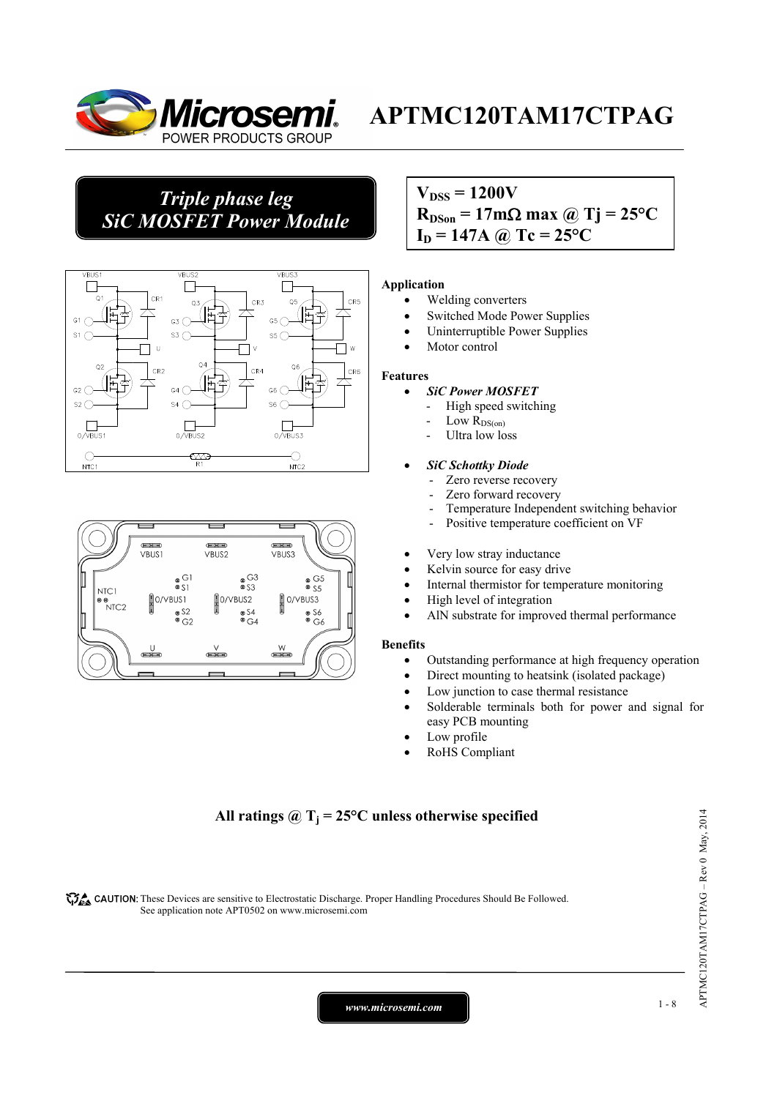

## *Triple phase leg SiC MOSFET Power Module*





### $V_{\text{DSS}} = 1200V$  $R_{DSon} = 17 \text{m}\Omega \text{ max}$  @ Tj = 25<sup>o</sup>C  $I_D = 147A$  @ Tc =  $25^{\circ}C$

#### **Application**

- Welding converters
- Switched Mode Power Supplies
- Uninterruptible Power Supplies
- Motor control

#### **Features**

- *SiC Power MOSFET*
	- High speed switching
	- Low  $R_{DS(on)}$
	- Ultra low loss

#### • *SiC Schottky Diode*

- Zero reverse recovery
- Zero forward recovery
- Temperature Independent switching behavior
- Positive temperature coefficient on VF
- Very low stray inductance
- Kelvin source for easy drive
- Internal thermistor for temperature monitoring
- High level of integration
- AlN substrate for improved thermal performance

#### **Benefits**

- Outstanding performance at high frequency operation
- Direct mounting to heatsink (isolated package)
- Low junction to case thermal resistance
- Solderable terminals both for power and signal for easy PCB mounting
- Low profile
- RoHS Compliant

#### All ratings  $\omega_{\text{I}} = 25^{\circ}\text{C}$  unless otherwise specified

CAUTION: These Devices are sensitive to Electrostatic Discharge. Proper Handling Procedures Should Be Followed. See application note APT0502 on www.microsemi.com

*www.microsemi.com* 1-8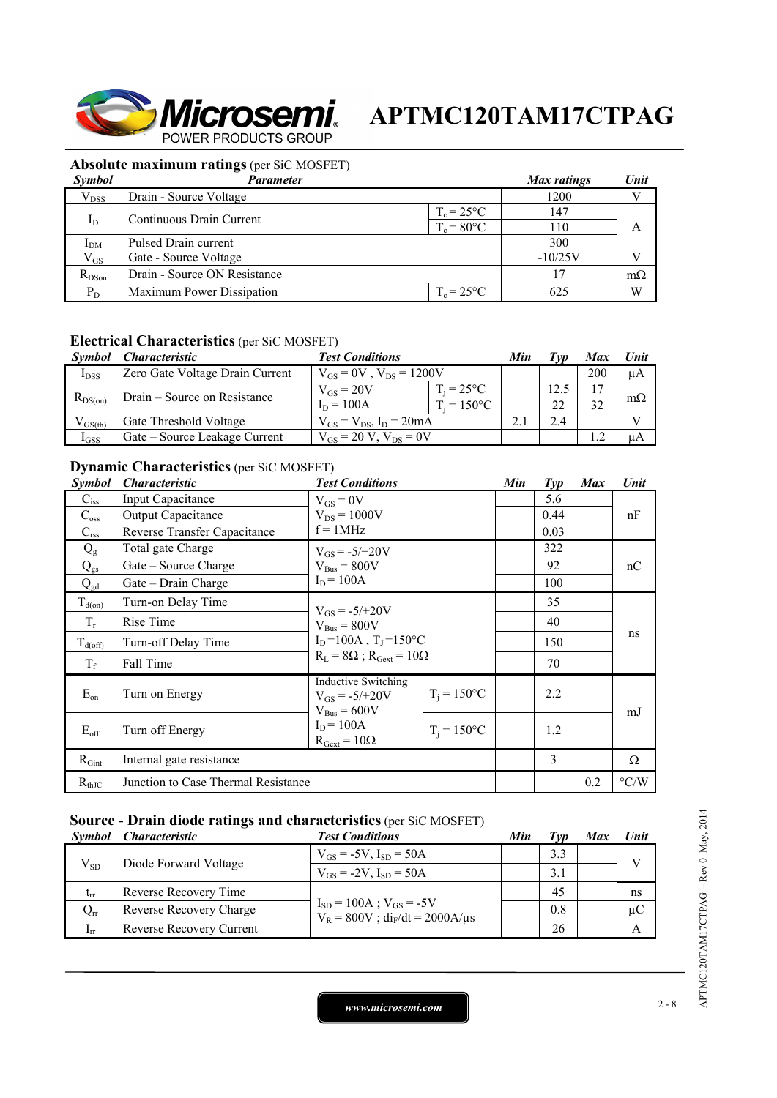

### **Absolute maximum ratings** (per SiC MOSFET)

| <b>Symbol</b>   | Parameter                    |                      | Max ratings | Unit      |
|-----------------|------------------------------|----------------------|-------------|-----------|
| $V_{DSS}$       | Drain - Source Voltage       |                      | 1200        |           |
|                 | Continuous Drain Current     | $T_c = 25^{\circ}C$  | 147         |           |
| $I_D$           |                              | $T_c = 80^{\circ}$ C | 110         | A         |
| I <sub>DM</sub> | Pulsed Drain current         |                      | 300         |           |
| $V_{GS}$        | Gate - Source Voltage        |                      | $-10/25V$   |           |
| $R_{DSon}$      | Drain - Source ON Resistance |                      | 17          | $m\Omega$ |
| $P_D$           | Maximum Power Dissipation    | $T_c = 25^{\circ}C$  | 625         | W         |

### **Electrical Characteristics** (per SiC MOSFET)

| <i>Symbol</i> | <i><b>Characteristic</b></i>    | <b>Test Conditions</b>           |                     | Min |     | <b>Max</b> | <b>Unit</b> |
|---------------|---------------------------------|----------------------------------|---------------------|-----|-----|------------|-------------|
| $I_{DSS}$     | Zero Gate Voltage Drain Current | $V_{GS} = 0V$ , $V_{DS} = 1200V$ |                     |     |     | 200        | μA          |
|               |                                 | $V_{GS} = 20V$                   | $T_i = 25^{\circ}C$ |     |     |            |             |
| $R_{DS(on)}$  | Drain – Source on Resistance    | $I_D = 100A$                     | $T_i = 150$ °C      |     | 22  | 32         | $m\Omega$   |
| $V_{GS(th)}$  | Gate Threshold Voltage          | $V_{GS} = V_{DS}$ , $I_D = 20mA$ |                     |     | 2.4 |            |             |
| $I_{GSS}$     | Gate – Source Leakage Current   | $V_{gs} = 20 V$ , $V_{ps} = 0V$  |                     |     |     |            | uА          |

### **Dynamic Characteristics** (per SiC MOSFET)

| Symbol                    | <i><b>Characteristic</b></i>        | <b>Test Conditions</b>                                                               |                | Min | $Typ$          | <b>Max</b> | Unit               |
|---------------------------|-------------------------------------|--------------------------------------------------------------------------------------|----------------|-----|----------------|------------|--------------------|
| $\mathbf{C}_{\text{iss}}$ | <b>Input Capacitance</b>            | $V_{GS} = 0V$                                                                        |                |     | 5.6            |            |                    |
| $C_{\rm oss}$             | <b>Output Capacitance</b>           | $V_{DS} = 1000V$                                                                     |                |     | 0.44           |            | nF                 |
| $C_{\rm rss}$             | Reverse Transfer Capacitance        | $f = 1MHz$                                                                           |                |     | 0.03           |            |                    |
| $Q_{\rm g}$               | Total gate Charge                   | $V_{GS} = -5/+20V$                                                                   |                |     | 322            |            |                    |
| $Q_{gs}$                  | Gate – Source Charge                | $V_{Bus} = 800V$                                                                     |                |     | 92             |            | nC                 |
| $Q_{gd}$                  | Gate – Drain Charge                 | $I_D = 100A$                                                                         |                |     | 100            |            |                    |
| $T_{d(on)}$               | Turn-on Delay Time                  | $V_{GS} = -5/+20V$<br>$V_{\text{Bus}} = 800V$<br>$I_D = 100A$ , $T_I = 150^{\circ}C$ |                |     | 35             |            |                    |
| $T_r$                     | Rise Time                           |                                                                                      |                |     | 40             |            | ns                 |
| $T_{d(off)}$              | Turn-off Delay Time                 |                                                                                      |                |     | 150            |            |                    |
| $T_f$                     | Fall Time                           | $R_L = 8\Omega$ ; $R_{Gext} = 10\Omega$                                              |                |     | 70             |            |                    |
| $E_{on}$                  | Turn on Energy                      | <b>Inductive Switching</b><br>$V_{GS} = -5/+20V$<br>$V_{\text{Bus}} = 600V$          | $T_i = 150$ °C |     | 2.2            |            | mJ                 |
| $E_{\rm off}$             | Turn off Energy                     | $I_D = 100A$<br>$R_{\text{Gext}} = 10\Omega$                                         | $T_i = 150$ °C |     | 1.2            |            |                    |
| $R_{Gint}$                | Internal gate resistance            |                                                                                      |                |     | $\overline{3}$ |            | Ω                  |
| $R_{thJC}$                | Junction to Case Thermal Resistance |                                                                                      |                |     |                | 0.2        | $\rm ^{\circ} C/W$ |

### **Source - Drain diode ratings and characteristics** (per SiC MOSFET)

|                 | Symbol Characteristic    | <b>Test Conditions</b>                                                     | Min | Tvp | Max | Unit         |  |
|-----------------|--------------------------|----------------------------------------------------------------------------|-----|-----|-----|--------------|--|
| $V_{SD}$        | Diode Forward Voltage    | $V_{GS} = -5V$ , $I_{SD} = 50A$                                            |     | 3.3 |     | $\mathbf{V}$ |  |
|                 |                          | $V_{GS} = -2V$ , $I_{SD} = 50A$                                            |     | 3.1 |     |              |  |
| $t_{rr}$        | Reverse Recovery Time    |                                                                            |     | 45  |     | ns           |  |
| $Q_{rr}$        | Reverse Recovery Charge  | $I_{SD} = 100A$ ; $V_{GS} = -5V$<br>$V_R = 800V$ ; $di_F/dt = 2000A/\mu s$ |     | 0.8 |     | $\mu$ C      |  |
| 1 <sub>rr</sub> | Reverse Recovery Current |                                                                            |     | 26  |     |              |  |

APTMC120TAM17CTPAG-Rev 0 May, 2014 APTMC120TAM17CTPAG – Rev 0 May, 2014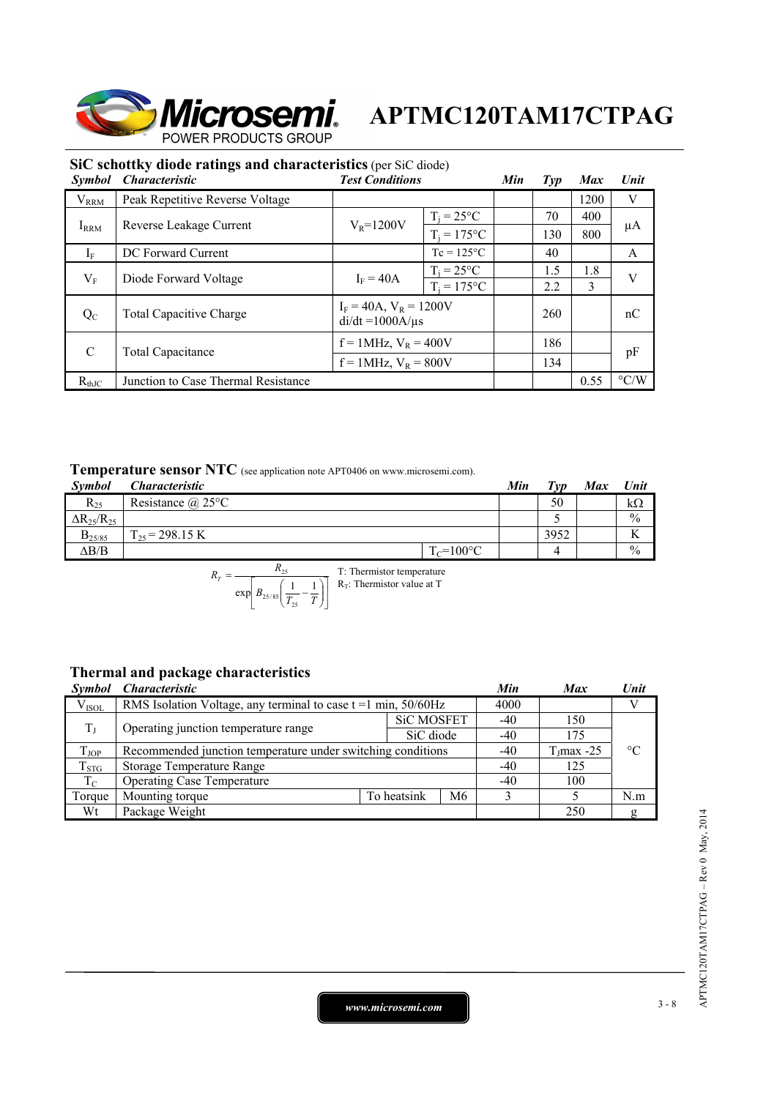

 $di/dt = 1000A/\mu s$  260 nC

 $pF = 1 \text{MHz}, v_R = 400 \text{V}$  134 pF

| SIC SCHOUGY GROUP FALLINGS AND CHAFACTERIES (DEL SIC GROUP) |                                 |                        |                     |     |     |      |      |  |
|-------------------------------------------------------------|---------------------------------|------------------------|---------------------|-----|-----|------|------|--|
| <i><b>Symbol</b></i>                                        | <i><b>Characteristic</b></i>    | <b>Test Conditions</b> |                     | Min | Tvp | Max  | Unit |  |
| $\rm V_{RRM}$                                               | Peak Repetitive Reverse Voltage |                        |                     |     |     | 1200 |      |  |
|                                                             |                                 |                        | $T_i = 25^{\circ}C$ |     | 70  | 400  |      |  |
| $I_{\rm RRM}$                                               | Reverse Leakage Current         | $V_R = 1200V$          | $T_i = 175$ °C      |     | 130 | 800  | μA   |  |
| $1_{\rm F}$                                                 | DC Forward Current              |                        | $T_c = 125$ °C      |     | 40  |      |      |  |
|                                                             | Diode Forward Voltage           | $I_F = 40A$            | $T_i = 25^{\circ}C$ |     | 1.5 | 1.8  |      |  |
| $\rm V_F$                                                   |                                 |                        | $T_i = 175$ °C      |     | 2.2 |      |      |  |

C Total Capacitance  $f = 1 \text{MHz}, V_R = 400 \text{V}$  186<br> $f = 1 \text{MHz}, V_R = 800 \text{V}$  134

## **SiC schottky diode ratings and characteristics** (per SiC diode)

| <b>Temperature sensor NTC</b> (see application note APT0406 on www.microsemi.com). |
|------------------------------------------------------------------------------------|
|------------------------------------------------------------------------------------|

 $Q_{\text{C}}$  Total Capacitive Charge  $I_{\text{F}} = 40\text{A}$ ,  $V_{\text{R}} = 1200\text{V}$ 

| <b>Symbol</b>          | $\sim$ which we we we conclude $\sim$ to the substitution note that the contract continuous set of $\sim$<br><i><b>Characteristic</b></i> |                | Min | $T_{VD}$ | <b>Max</b> | Unit          |
|------------------------|-------------------------------------------------------------------------------------------------------------------------------------------|----------------|-----|----------|------------|---------------|
| $R_{25}$               | Resistance $(a)$ 25°C                                                                                                                     |                |     | 50       |            | $k\Omega$     |
| $\Delta R_{25}/R_{25}$ |                                                                                                                                           |                |     |          |            | $\frac{0}{0}$ |
| $B_{25/85}$            | $\Gamma_{25}$ = 298.15 K                                                                                                                  |                |     | 3952     |            |               |
| $\Delta B/B$           |                                                                                                                                           | $T_c = 100$ °C |     |          |            | $\frac{0}{0}$ |

 $R<sub>thJC</sub>$  Junction to Case Thermal Resistance 0.55 °C/W

$$
R_T = \frac{R_{25}}{\exp\left[B_{25/85}\left(\frac{1}{T_{25}} - \frac{1}{T}\right)\right]}
$$
 T: Thermistor temperature

### **Thermal and package characteristics**

| <i>Symbol</i> | <i><b>Characteristic</b></i>                                     |             |                   | Min   | <b>Max</b>    | Unit            |
|---------------|------------------------------------------------------------------|-------------|-------------------|-------|---------------|-----------------|
| $V_{ISOL}$    | RMS Isolation Voltage, any terminal to case $t = 1$ min, 50/60Hz |             |                   | 4000  |               |                 |
| $T_{\rm J}$   | Operating junction temperature range                             |             | <b>SiC MOSFET</b> | $-40$ | 150           |                 |
|               |                                                                  |             | SiC diode         | -40   | 175           |                 |
| $T_{JOP}$     | Recommended junction temperature under switching conditions      |             |                   | -40   | $T_J$ max -25 | $\rm ^{\circ}C$ |
| $T_{STG}$     | <b>Storage Temperature Range</b>                                 |             |                   | -40   | 125           |                 |
| $T_{\rm C}$   | <b>Operating Case Temperature</b>                                | $-40$       | 100               |       |               |                 |
| Torque        | Mounting torque                                                  | To heatsink | M6                |       |               | N.m             |
| Wt            | Package Weight                                                   |             |                   |       | 250           | ø               |

*www.microsemi.com* 3-8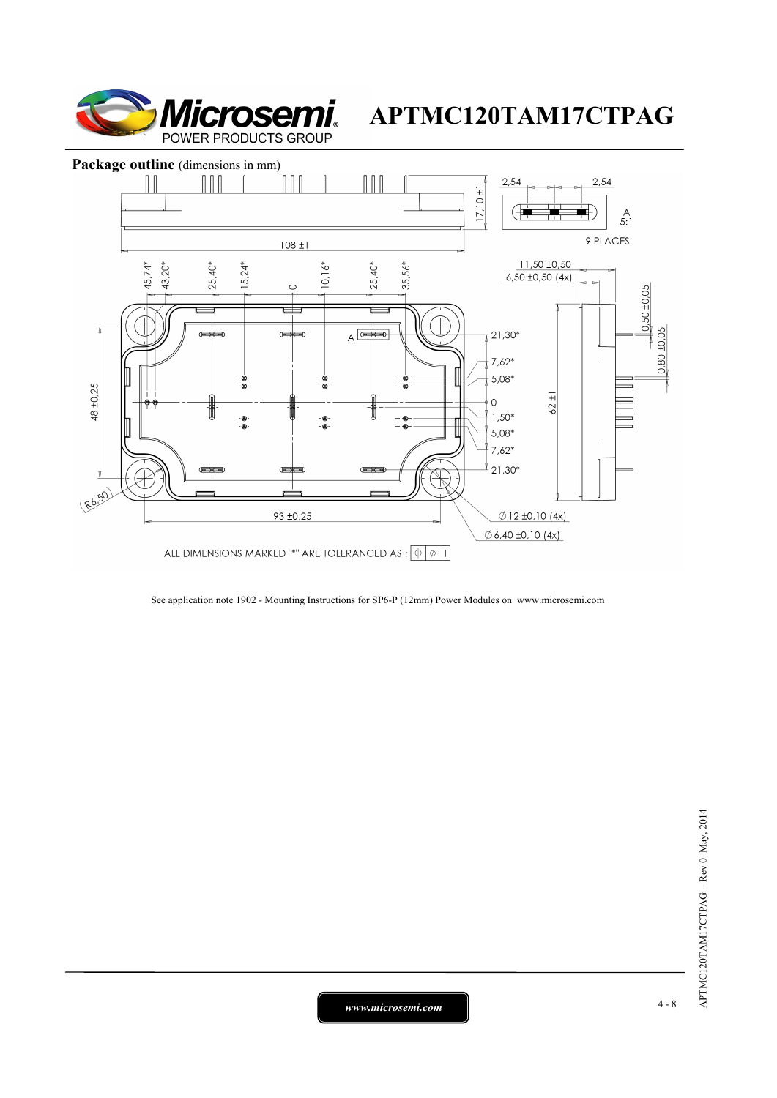



See application note 1902 - Mounting Instructions for SP6-P (12mm) Power Modules on www.microsemi.com

*www.microsemi.com* 4-8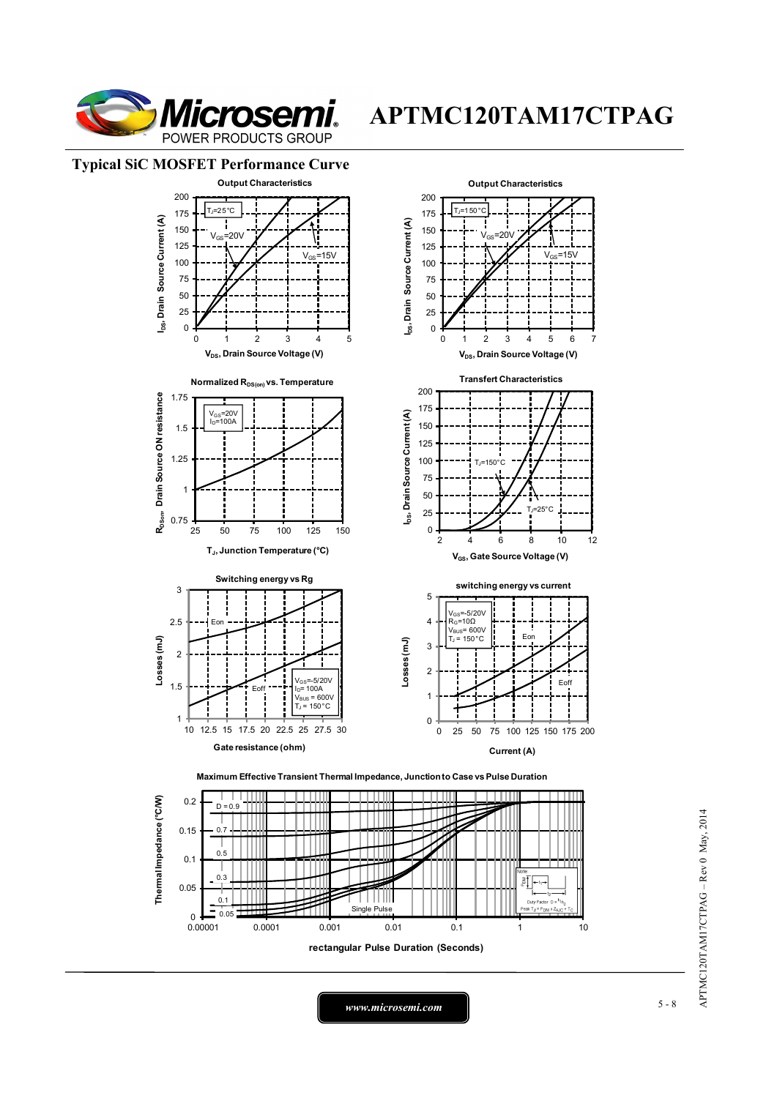

#### **Typical SiC MOSFET Performance Curve**





*www.microsemi.com* 5-8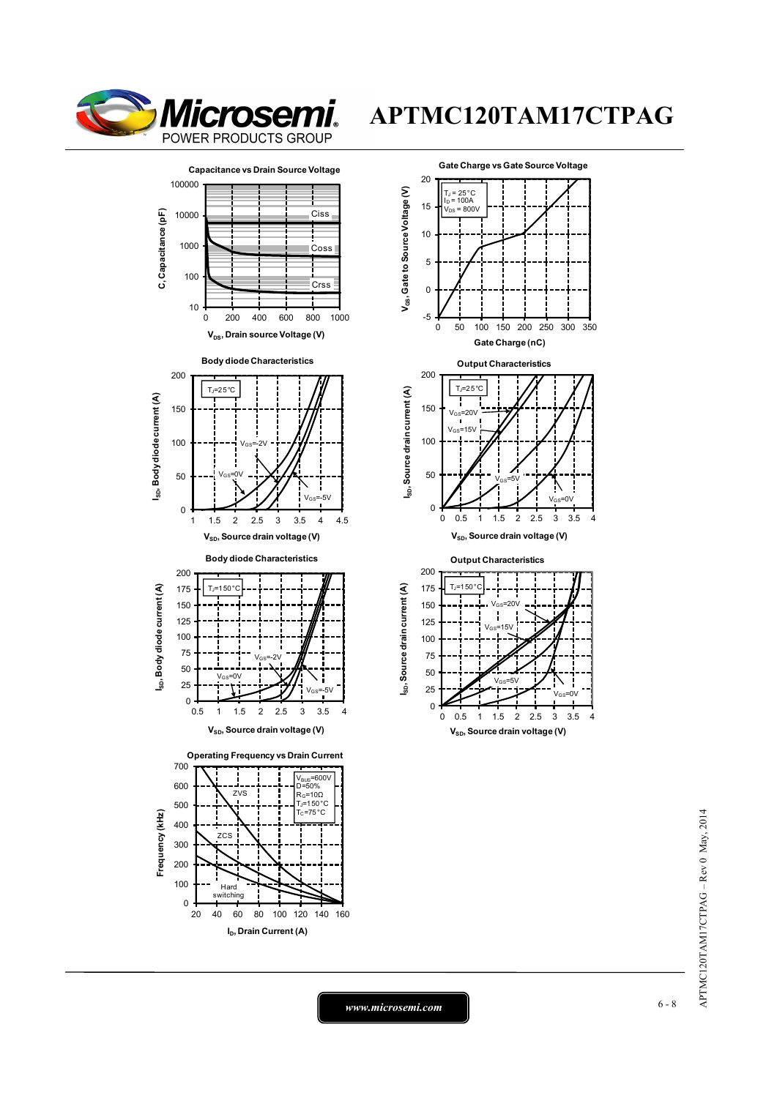





**V<sub>SD</sub>**, Source drain voltage (V)

APTMC120TAM17CTPAG-Rev 0 May, 2014 APTMC120TAM17CTPAG – Rev 0 May, 2014

*www.microsemi.com* 6-8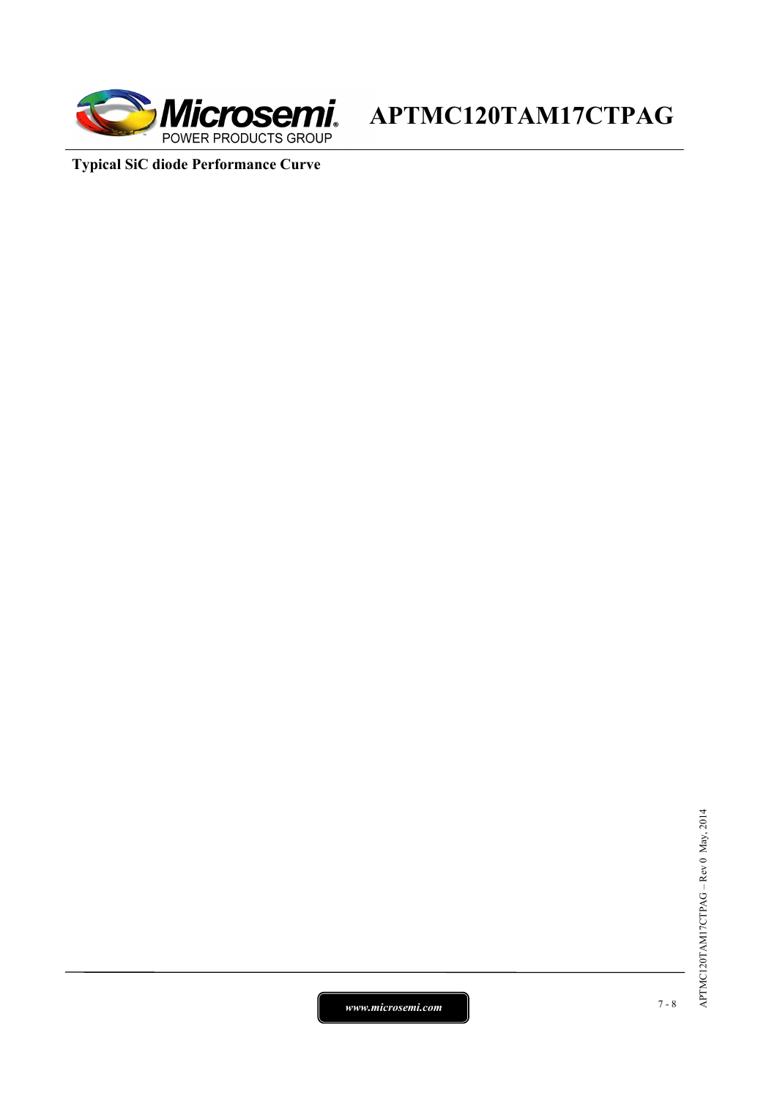

**Typical SiC diode Performance Curve**

*www.microsemi.com* 7-8